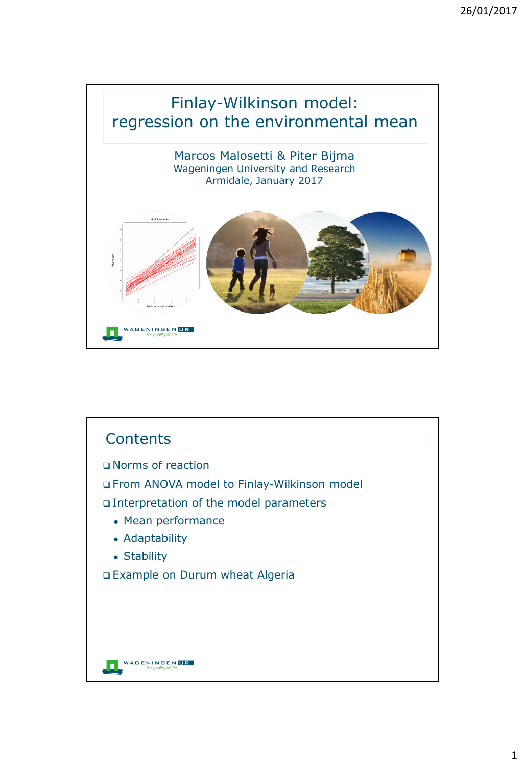

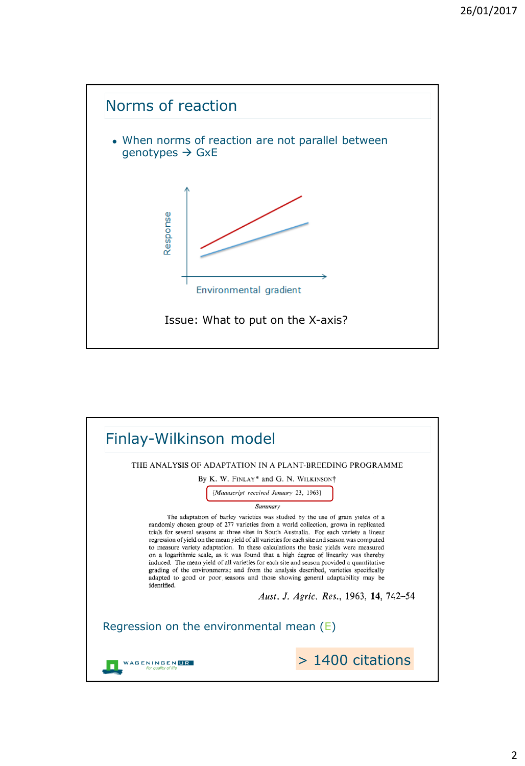

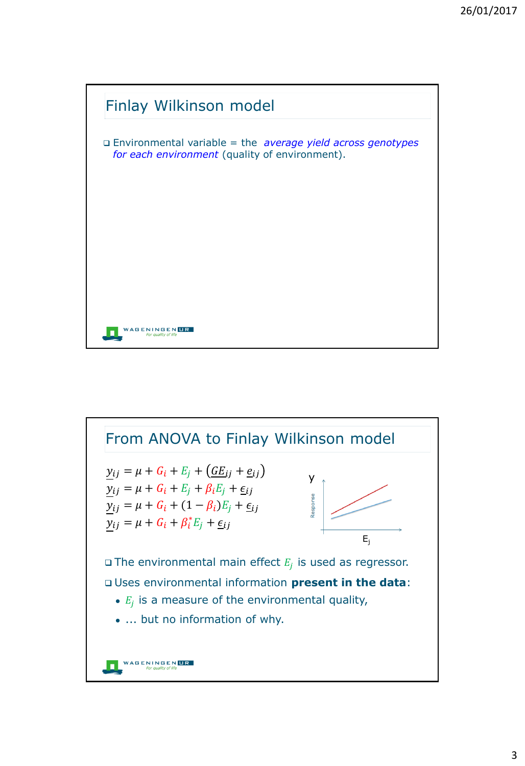

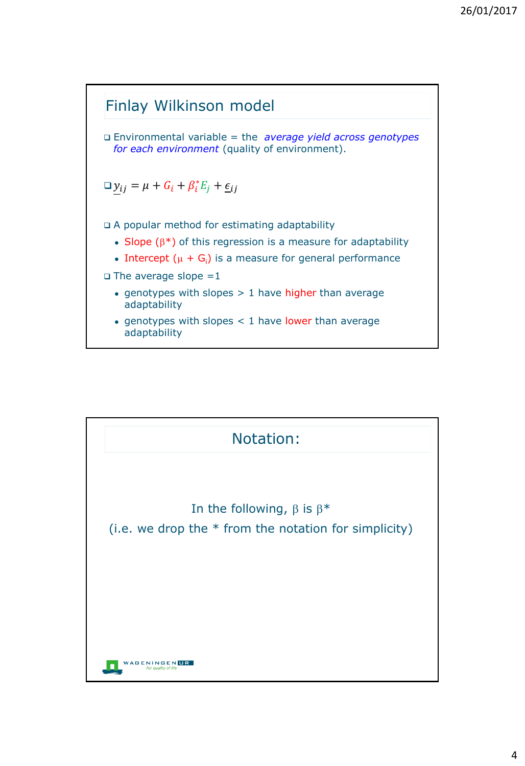

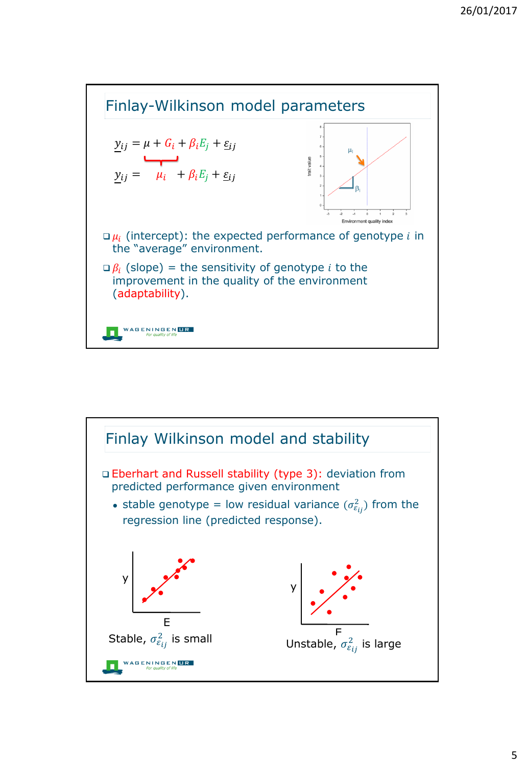

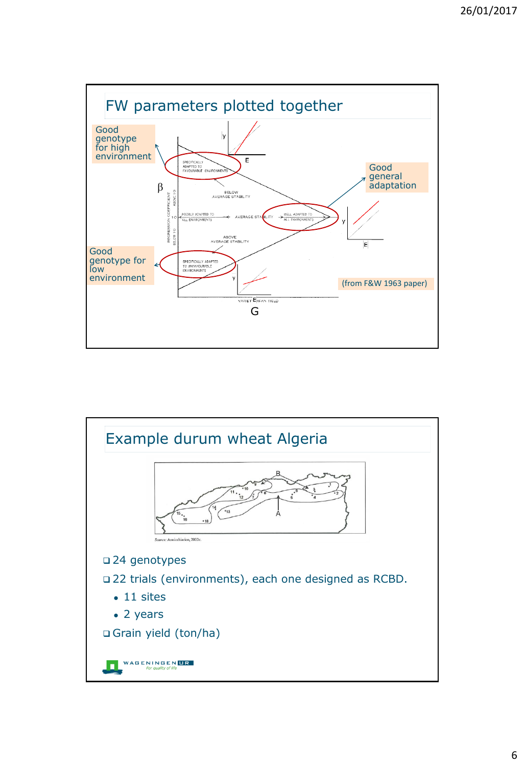

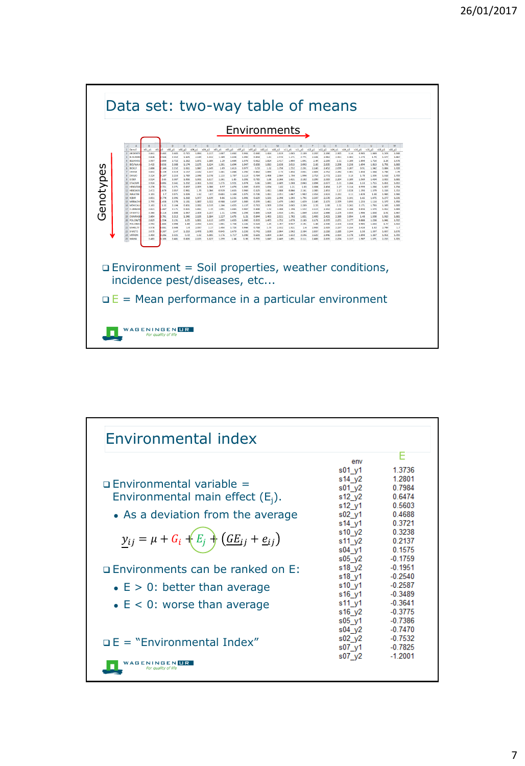

| Environmental index                             |                |           |
|-------------------------------------------------|----------------|-----------|
|                                                 |                | F         |
|                                                 | env            |           |
|                                                 | $s01$ $v1$     | 1.3736    |
|                                                 | $s14 \sqrt{2}$ | 1.2801    |
| $\Box$ Environmental variable =                 | $s01$ $y2$     | 0.7984    |
| Environmental main effect $(E_i)$ .             | $s12 \sqrt{2}$ | 0.6474    |
|                                                 | s12 y1         | 0.5603    |
| • As a deviation from the average               | $s02$ $y1$     | 0.4688    |
|                                                 | s14 y1         | 0.3721    |
|                                                 | s10 y2         | 0.3238    |
| $y_{ij} = \mu + G_i + E_j + (GE_{ij} + e_{ij})$ | s11 y2         | 0.2137    |
|                                                 | $s04$ $v1$     | 0.1575    |
|                                                 | $s05 \sqrt{2}$ | $-0.1759$ |
| □ Environments can be ranked on E:              | s18 y2         | $-0.1951$ |
|                                                 | s18 y1         | $-0.2540$ |
| $\bullet$ E > 0: better than average            | s10 y1         | $-0.2587$ |
|                                                 | s16 y1         | $-0.3489$ |
| $\bullet$ E < 0: worse than average             | s11 y1         | $-0.3641$ |
|                                                 | s16 y2         | $-0.3775$ |
|                                                 | $s05$ $y1$     | $-0.7386$ |
|                                                 | $s04$ $y2$     | $-0.7470$ |
| $\Box$ E = "Environmental Index"                | $s02$ $y2$     | $-0.7532$ |
|                                                 | $s07$ $v1$     | $-0.7825$ |
|                                                 | s07 y2         | $-1.2001$ |
| <b>A G E N I N G E N</b><br>UR                  |                |           |
|                                                 |                |           |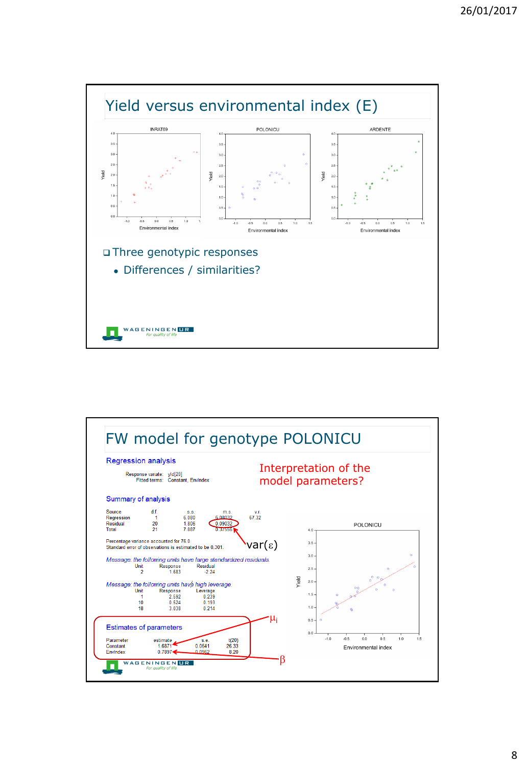

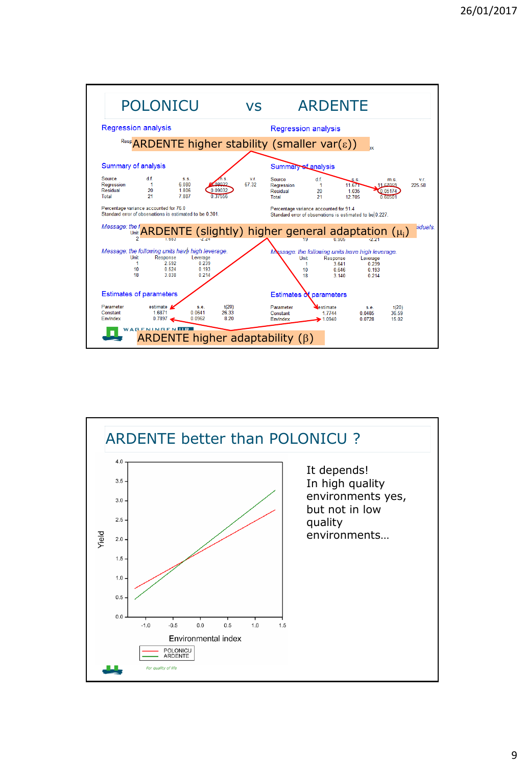

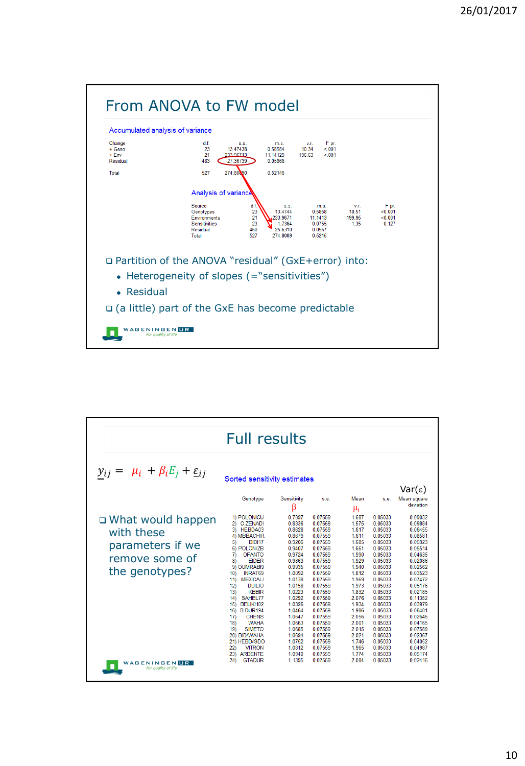

| <b>Full results</b>                                                                                                                        |                                                                                                                                                                                                                                                                                                                                                                                                                                                                                                          |                                                                                                                                                                                                                                                 |                                                                                                                                                                                                                                                                      |                                                                                                                                                                                                                       |                                                                                                                                                                                                                                                                      |                                                                                                                                                                                                                                                                      |  |  |
|--------------------------------------------------------------------------------------------------------------------------------------------|----------------------------------------------------------------------------------------------------------------------------------------------------------------------------------------------------------------------------------------------------------------------------------------------------------------------------------------------------------------------------------------------------------------------------------------------------------------------------------------------------------|-------------------------------------------------------------------------------------------------------------------------------------------------------------------------------------------------------------------------------------------------|----------------------------------------------------------------------------------------------------------------------------------------------------------------------------------------------------------------------------------------------------------------------|-----------------------------------------------------------------------------------------------------------------------------------------------------------------------------------------------------------------------|----------------------------------------------------------------------------------------------------------------------------------------------------------------------------------------------------------------------------------------------------------------------|----------------------------------------------------------------------------------------------------------------------------------------------------------------------------------------------------------------------------------------------------------------------|--|--|
| $y_{ij} = \mu_i + \beta_i E_j + \underline{\varepsilon}_{ij}$                                                                              | Sorted sensitivity estimates                                                                                                                                                                                                                                                                                                                                                                                                                                                                             |                                                                                                                                                                                                                                                 |                                                                                                                                                                                                                                                                      |                                                                                                                                                                                                                       |                                                                                                                                                                                                                                                                      | Var( $\epsilon$ )                                                                                                                                                                                                                                                    |  |  |
|                                                                                                                                            | Genotype                                                                                                                                                                                                                                                                                                                                                                                                                                                                                                 | Sensitivity<br>ß                                                                                                                                                                                                                                | s.e.                                                                                                                                                                                                                                                                 | Mean<br>μ <sub>i</sub>                                                                                                                                                                                                | s.e.                                                                                                                                                                                                                                                                 | Mean square<br>deviation                                                                                                                                                                                                                                             |  |  |
| □ What would happen<br>with these<br>parameters if we<br>remove some of<br>the genotypes?<br><b>AGENINGEN</b><br>UR<br>For quality of life | 1) POLONICU<br>2) O.ZENADI<br>3) HEBDA03<br>4) MBBACHIR<br><b>BIDI17</b><br>5)<br>6) POLON/ZB<br>71<br><b>OFANTO</b><br><b>EIDER</b><br>8)<br>9) OUMRABI9<br><b>INRAT69</b><br>10)<br><b>MEXICALI</b><br>11)<br>12)<br><b>DUILIO</b><br>13)<br><b>KEBIR</b><br>SAHEL77<br>14)<br>BELIKH02<br>15)<br><b>B.DUR194</b><br>16)<br><b>CHENS</b><br>17)<br><b>WAHA</b><br>18)<br>19)<br><b>SIMETO</b><br>20) BID/WAHA<br>21) HEBD/GDO<br><b>VITRON</b><br>22)<br>231<br><b>ARDENTE</b><br>24)<br><b>GTADUR</b> | 0.7897<br>0.8336<br>0.8628<br>0.8679<br>0.9206<br>0.9407<br>0.9724<br>0.9863<br>0 9935<br>1 0092<br>1 0 1 3 8<br>1.0158<br>1.0223<br>1.0292<br>1.0326<br>1.0464<br>1.0647<br>1.0663<br>1.0685<br>1.0694<br>1.0752<br>1 0812<br>1.0940<br>1.1395 | 0.07559<br>0.07559<br>0.07559<br>0.07559<br>0.07559<br>0.07559<br>0.07559<br>0.07559<br>0 07559<br>0 07559<br>0 07559<br>0.07559<br>0.07559<br>0.07559<br>0.07559<br>0.07559<br>0.07559<br>0.07559<br>0.07559<br>0.07559<br>0.07559<br>0 07559<br>0.07559<br>0.07559 | 1.687<br>1.575<br>1.617<br>1.611<br>1.685<br>1.661<br>1.990<br>1.929<br>1 940<br>1812<br>1.969<br>1.973<br>1.832<br>2.076<br>1.934<br>1.986<br>2.056<br>2.001<br>2.015<br>2.021<br>1.746<br>1.965<br>1 7 7 4<br>2.084 | 0.05033<br>0.05033<br>0.05033<br>0.05033<br>0.05033<br>0.05033<br>0.05033<br>0.05033<br>0 05033<br>0 05033<br>0 05033<br>0.05033<br>0.05033<br>0.05033<br>0.05033<br>0.05033<br>0.05033<br>0.05033<br>0.05033<br>0.05033<br>0.05033<br>0 05033<br>0 05033<br>0.05033 | 0.09032<br>0.09884<br>0.06455<br>0.08581<br>0.05923<br>0.05514<br>0.04635<br>0.02086<br>0 02562<br>0 03523<br>0 07472<br>0.05176<br>0.02185<br>0.11352<br>0.03979<br>0.06401<br>0.02646<br>0.04165<br>0.07589<br>0.02367<br>0.04052<br>0 04987<br>0.05174<br>0.02416 |  |  |